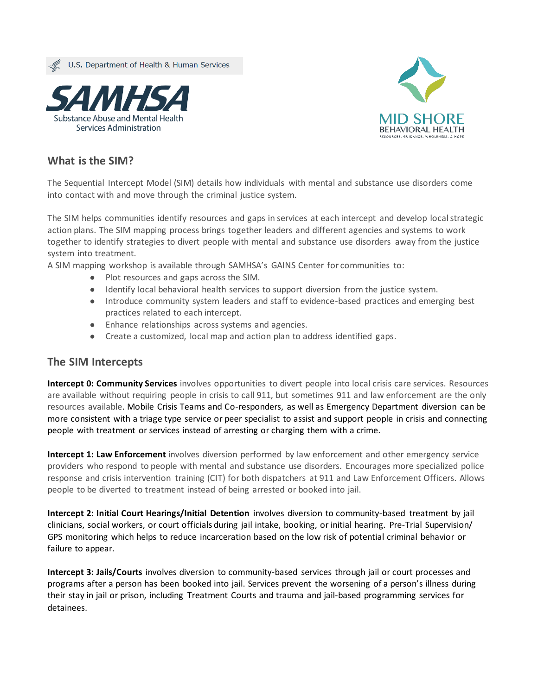U.S. Department of Health & Human Services





## **What is the SIM?**

The Sequential Intercept Model (SIM) details how individuals with mental and substance use disorders come into contact with and move through the criminal justice system.

The SIM helps communities identify resources and gaps in services at each intercept and develop local strategic action plans. The SIM mapping process brings together leaders and different agencies and systems to work together to identify strategies to divert people with mental and substance use disorders away from the justice system into treatment.

A SIM mapping workshop is available through SAMHSA's GAINS Center for communities to:

- Plot resources and gaps across the SIM.
- Identify local behavioral health services to support diversion from the justice system.
- Introduce community system leaders and staff to evidence-based practices and emerging best practices related to each intercept.
- Enhance relationships across systems and agencies.
- Create a customized, local map and action plan to address identified gaps.

## **The SIM Intercepts**

**[Intercept 0: Community Services](https://www.samhsa.gov/criminal-juvenile-justice/sim-overview/intercept-0)** involves opportunities to divert people into local crisis care services. Resources are available without requiring people in crisis to call 911, but sometimes 911 and law enforcement are the only resources available. Mobile Crisis Teams and Co-responders, as well as Emergency Department diversion can be more consistent with a triage type service or peer specialist to assist and support people in crisis and connecting people with treatment or services instead of arresting or charging them with a crime.

**[Intercept 1: Law Enforcement](https://www.samhsa.gov/criminal-juvenile-justice/sim-overview/intercept-1)** involves diversion performed by law enforcement and other emergency service providers who respond to people with mental and substance use disorders. Encourages more specialized police response and crisis intervention training (CIT) for both dispatchers at 911 and Law Enforcement Officers. Allows people to be diverted to treatment instead of being arrested or booked into jail.

**[Intercept 2: Initial Court Hearings/Initial Detention](https://www.samhsa.gov/criminal-juvenile-justice/sim-overview/intercept-2)** involves diversion to community-based treatment by jail clinicians, social workers, or court officials during jail intake, booking, or initial hearing. Pre-Trial Supervision/ GPS monitoring which helps to reduce incarceration based on the low risk of potential criminal behavior or failure to appear.

**[Intercept 3: Jails/Courts](https://www.samhsa.gov/criminal-juvenile-justice/sim-overview/intercept-3)** involves diversion to community-based services through jail or court processes and programs after a person has been booked into jail. Services prevent the worsening of a person's illness during their stay in jail or prison, including Treatment Courts and trauma and jail-based programming services for detainees.